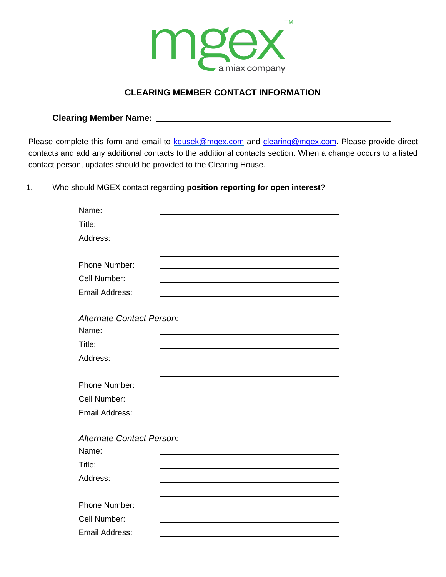

## **CLEARING MEMBER CONTACT INFORMATION**

**Clearing Member Name:** 

Email Address:

Please complete this form and email to [kdusek@mgex.com](mailto:kdusek@mgex.com) and [clearing@mgex.com.](mailto:clearing@mgex.com) Please provide direct contacts and add any additional contacts to the additional contacts section. When a change occurs to a listed contact person, updates should be provided to the Clearing House.

1. Who should MGEX contact regarding **position reporting for open interest?**

| Name:                            |  |
|----------------------------------|--|
| Title:                           |  |
| Address:                         |  |
|                                  |  |
| Phone Number:                    |  |
| Cell Number:                     |  |
| <b>Email Address:</b>            |  |
|                                  |  |
| <b>Alternate Contact Person:</b> |  |
| Name:                            |  |
| Title:                           |  |
| Address:                         |  |
|                                  |  |
| Phone Number:                    |  |
| Cell Number:                     |  |
| <b>Email Address:</b>            |  |
|                                  |  |
| Alternate Contact Person:        |  |
| Name:                            |  |
| Title:                           |  |
| Address:                         |  |
|                                  |  |
| Phone Number:                    |  |
| Cell Number:                     |  |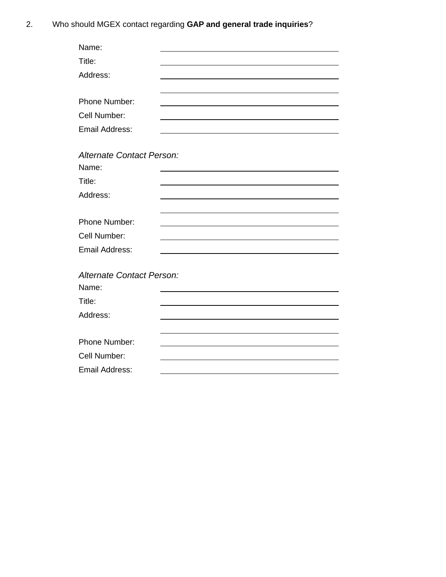2. Who should MGEX contact regarding **GAP and general trade inquiries**?

| Name:                     |  |
|---------------------------|--|
| Title:                    |  |
| Address:                  |  |
|                           |  |
| Phone Number:             |  |
| Cell Number:              |  |
| <b>Email Address:</b>     |  |
|                           |  |
| Alternate Contact Person: |  |
| Name:                     |  |
| Title:                    |  |
| Address:                  |  |
|                           |  |
| Phone Number:             |  |
| Cell Number:              |  |
| Email Address:            |  |
|                           |  |
| Alternate Contact Person: |  |
| Name:                     |  |
| Title:                    |  |
| Address:                  |  |
|                           |  |
| Phone Number:             |  |
| Cell Number:              |  |
| <b>Email Address:</b>     |  |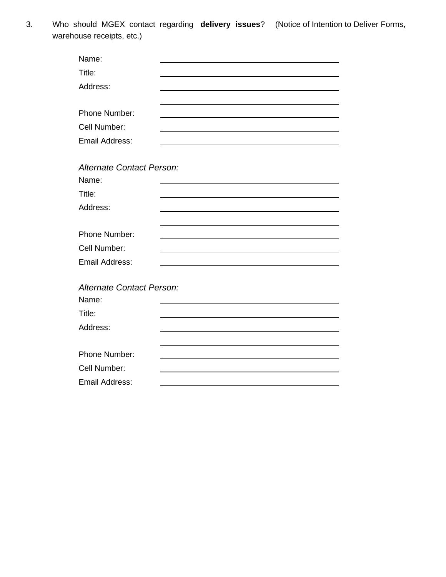3. Who should MGEX contact regarding **delivery issues**? (Notice of Intention to Deliver Forms, warehouse receipts, etc.)

| Name:                            |  |
|----------------------------------|--|
| Title:                           |  |
| Address:                         |  |
|                                  |  |
| Phone Number:                    |  |
| Cell Number:                     |  |
| Email Address:                   |  |
|                                  |  |
| <b>Alternate Contact Person:</b> |  |
| Name:                            |  |
| Title:                           |  |
| Address:                         |  |
|                                  |  |
| Phone Number:                    |  |
| Cell Number:                     |  |
| Email Address:                   |  |
|                                  |  |
| Alternate Contact Person:        |  |
| Name:                            |  |
| Title:                           |  |
| Address:                         |  |
|                                  |  |
| Phone Number:                    |  |
| Cell Number:                     |  |
| <b>Email Address:</b>            |  |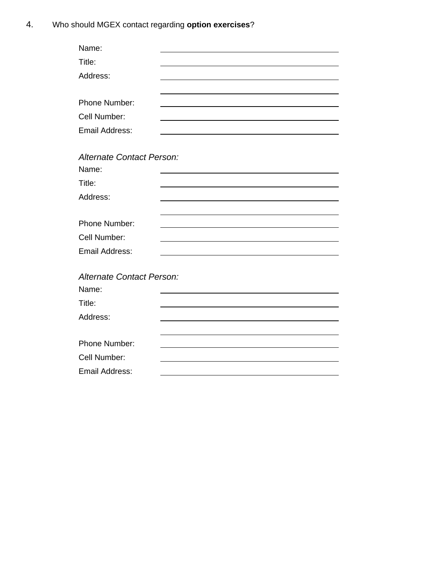4. Who should MGEX contact regarding **option exercises**?

| Name:                            |  |
|----------------------------------|--|
| Title:                           |  |
| Address:                         |  |
|                                  |  |
| Phone Number:                    |  |
| Cell Number:                     |  |
| <b>Email Address:</b>            |  |
|                                  |  |
| <b>Alternate Contact Person:</b> |  |
| Name:                            |  |
| Title:                           |  |
| Address:                         |  |
|                                  |  |
| Phone Number:                    |  |
| Cell Number:                     |  |
| <b>Email Address:</b>            |  |
|                                  |  |
| Alternate Contact Person:        |  |
| Name:                            |  |
| Title:                           |  |
| Address:                         |  |
|                                  |  |
| Phone Number:                    |  |
| Cell Number:                     |  |
| <b>Email Address:</b>            |  |
|                                  |  |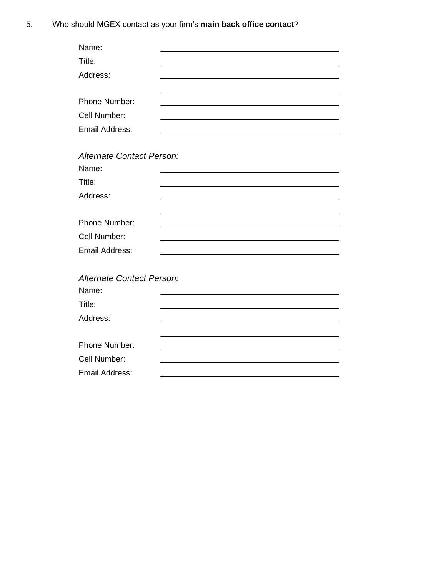5. Who should MGEX contact as your firm's **main back office contact**?

| Name:                            |  |
|----------------------------------|--|
| Title:                           |  |
| Address:                         |  |
|                                  |  |
| Phone Number:                    |  |
| Cell Number:                     |  |
| <b>Email Address:</b>            |  |
|                                  |  |
| Alternate Contact Person:        |  |
| Name:                            |  |
| Title:                           |  |
| Address:                         |  |
|                                  |  |
| Phone Number:                    |  |
| Cell Number:                     |  |
| <b>Email Address:</b>            |  |
|                                  |  |
| <b>Alternate Contact Person:</b> |  |
| Name:                            |  |
| Title:                           |  |
| Address:                         |  |
|                                  |  |
| Phone Number:                    |  |
| Cell Number:                     |  |
| <b>Email Address:</b>            |  |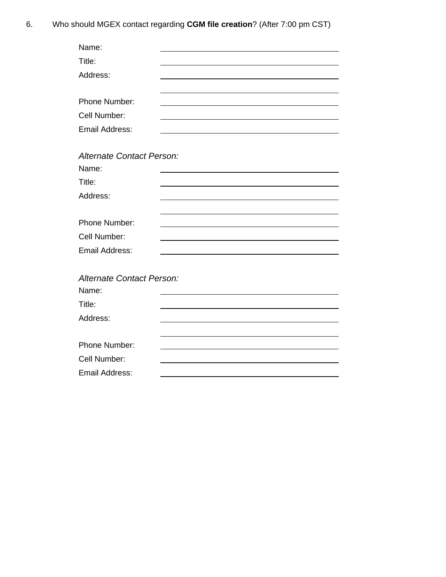6. Who should MGEX contact regarding **CGM file creation**? (After 7:00 pm CST)

| Name:                            |  |
|----------------------------------|--|
| Title:                           |  |
| Address:                         |  |
|                                  |  |
| Phone Number:                    |  |
| Cell Number:                     |  |
| <b>Email Address:</b>            |  |
|                                  |  |
| <b>Alternate Contact Person:</b> |  |
| Name:                            |  |
| Title:                           |  |
| Address:                         |  |
|                                  |  |
| Phone Number:                    |  |
| Cell Number:                     |  |
| <b>Email Address:</b>            |  |
|                                  |  |
| Alternate Contact Person:        |  |
| Name:                            |  |
| Title:                           |  |
| Address:                         |  |
|                                  |  |
| Phone Number:                    |  |
| Cell Number:                     |  |
| <b>Email Address:</b>            |  |
|                                  |  |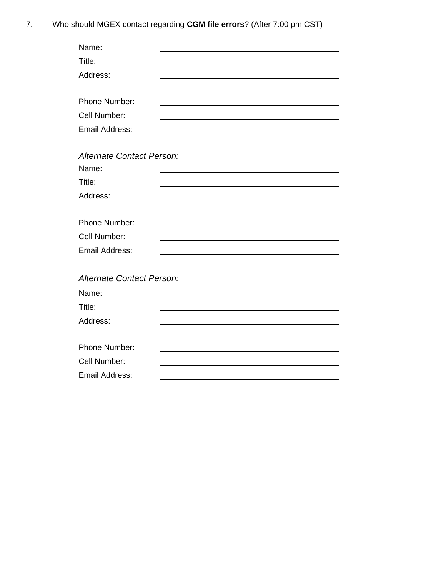7. Who should MGEX contact regarding **CGM file errors**? (After 7:00 pm CST)

| Name:                            |  |
|----------------------------------|--|
| Title:                           |  |
| Address:                         |  |
|                                  |  |
| Phone Number:                    |  |
| Cell Number:                     |  |
| <b>Email Address:</b>            |  |
|                                  |  |
| Alternate Contact Person:        |  |
| Name:                            |  |
| Title:                           |  |
| Address:                         |  |
|                                  |  |
| Phone Number:                    |  |
| Cell Number:                     |  |
| <b>Email Address:</b>            |  |
|                                  |  |
| <b>Alternate Contact Person:</b> |  |
| Name:                            |  |
| Title:                           |  |
| Address:                         |  |
|                                  |  |
| Phone Number:                    |  |
| Cell Number:                     |  |
| <b>Email Address:</b>            |  |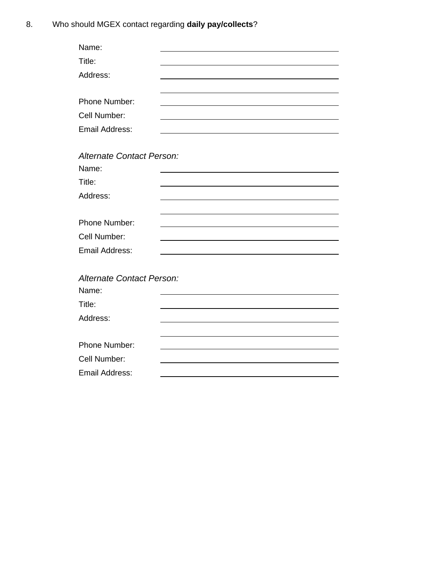| Name:                     |  |
|---------------------------|--|
| Title:                    |  |
| Address:                  |  |
|                           |  |
| Phone Number:             |  |
| Cell Number:              |  |
| <b>Email Address:</b>     |  |
|                           |  |
| Alternate Contact Person: |  |
| Name:                     |  |
| Title:                    |  |
| Address:                  |  |
|                           |  |
| Phone Number:             |  |
| Cell Number:              |  |
| <b>Email Address:</b>     |  |
|                           |  |
| Alternate Contact Person: |  |
| Name:                     |  |
| Title:                    |  |
| Address:                  |  |
|                           |  |
| Phone Number:             |  |
| Cell Number:              |  |
| <b>Email Address:</b>     |  |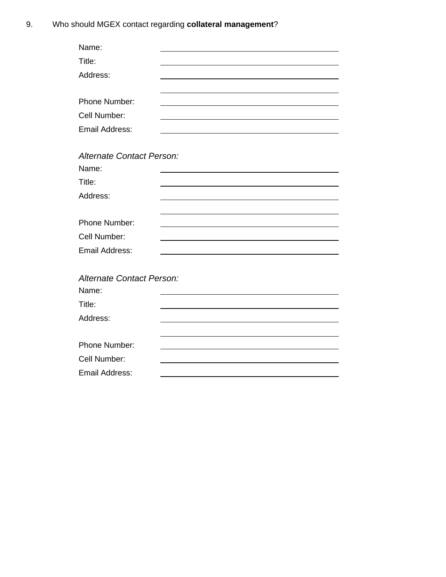9. Who should MGEX contact regarding **collateral management**?

| Name:                            |  |
|----------------------------------|--|
| Title:                           |  |
| Address:                         |  |
|                                  |  |
| Phone Number:                    |  |
| Cell Number:                     |  |
| <b>Email Address:</b>            |  |
|                                  |  |
| Alternate Contact Person:        |  |
| Name:                            |  |
| Title:                           |  |
| Address:                         |  |
|                                  |  |
| Phone Number:                    |  |
| Cell Number:                     |  |
| <b>Email Address:</b>            |  |
|                                  |  |
| <b>Alternate Contact Person:</b> |  |
| Name:                            |  |
| Title:                           |  |
| Address:                         |  |
|                                  |  |
| Phone Number:                    |  |
| Cell Number:                     |  |
| <b>Email Address:</b>            |  |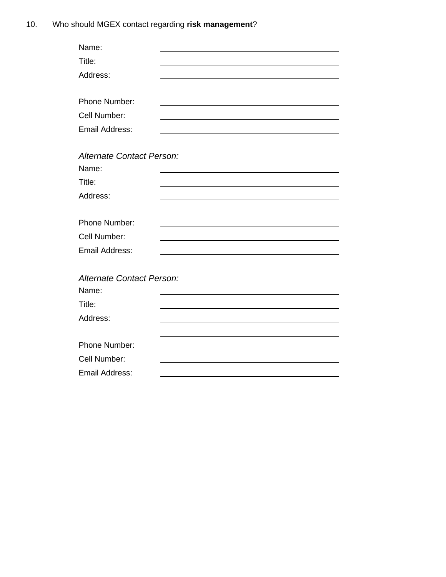| Alternate Contact Person:        |
|----------------------------------|
|                                  |
|                                  |
|                                  |
|                                  |
|                                  |
|                                  |
|                                  |
|                                  |
|                                  |
| <b>Alternate Contact Person:</b> |
|                                  |
|                                  |
|                                  |
|                                  |
|                                  |
|                                  |
|                                  |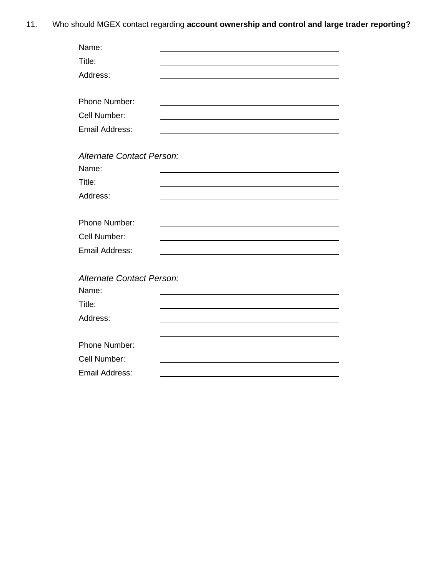11. Who should MGEX contact regarding **account ownership and control and large trader reporting?**

| Name:                            |  |
|----------------------------------|--|
| Title:                           |  |
| Address:                         |  |
|                                  |  |
| Phone Number:                    |  |
| Cell Number:                     |  |
| <b>Email Address:</b>            |  |
|                                  |  |
| Alternate Contact Person:        |  |
| Name:                            |  |
| Title:                           |  |
| Address:                         |  |
|                                  |  |
| Phone Number:                    |  |
| Cell Number:                     |  |
| Email Address:                   |  |
|                                  |  |
| <b>Alternate Contact Person:</b> |  |
| Name:                            |  |
| Title:                           |  |
| Address:                         |  |
|                                  |  |
| Phone Number:                    |  |
| Cell Number:                     |  |
| <b>Email Address:</b>            |  |
|                                  |  |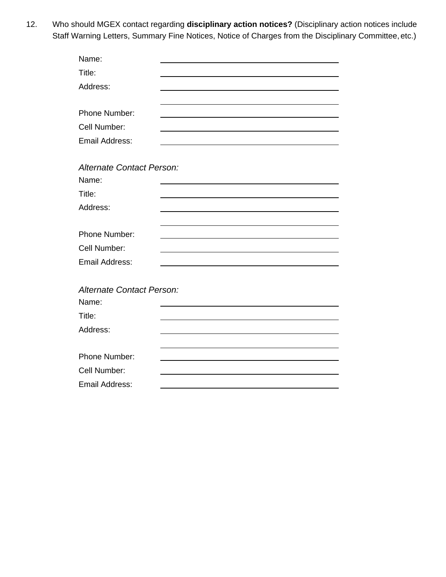12. Who should MGEX contact regarding **disciplinary action notices?** (Disciplinary action notices include Staff Warning Letters, Summary Fine Notices, Notice of Charges from the Disciplinary Committee, etc.)

| Name:                     |  |
|---------------------------|--|
| Title:                    |  |
| Address:                  |  |
|                           |  |
| Phone Number:             |  |
| Cell Number:              |  |
| <b>Email Address:</b>     |  |
|                           |  |
| Alternate Contact Person: |  |
| Name:                     |  |
| Title:                    |  |
| Address:                  |  |
|                           |  |
| Phone Number:             |  |
| Cell Number:              |  |
| <b>Email Address:</b>     |  |
|                           |  |
| Alternate Contact Person: |  |
| Name:                     |  |
| Title:                    |  |
| Address:                  |  |
|                           |  |
| Phone Number:             |  |
| Cell Number:              |  |
| <b>Email Address:</b>     |  |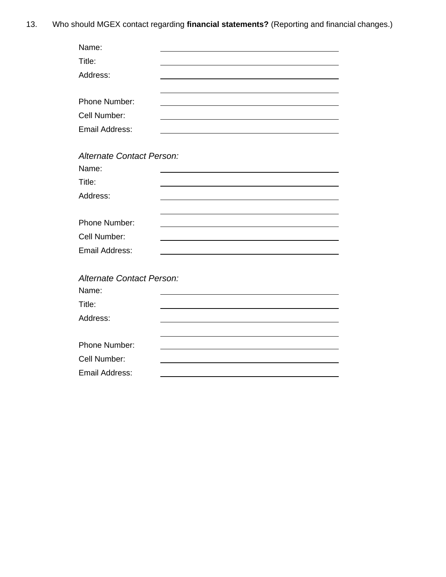13. Who should MGEX contact regarding **financial statements?** (Reporting and financial changes.)

| Name:                            |  |
|----------------------------------|--|
| Title:                           |  |
| Address:                         |  |
|                                  |  |
| Phone Number:                    |  |
| Cell Number:                     |  |
| <b>Email Address:</b>            |  |
|                                  |  |
| <b>Alternate Contact Person:</b> |  |
| Name:                            |  |
| Title:                           |  |
| Address:                         |  |
|                                  |  |
| Phone Number:                    |  |
| Cell Number:                     |  |
| <b>Email Address:</b>            |  |
|                                  |  |
| <b>Alternate Contact Person:</b> |  |
| Name:                            |  |
| Title:                           |  |
| Address:                         |  |
|                                  |  |
| Phone Number:                    |  |
| Cell Number:                     |  |
| <b>Email Address:</b>            |  |
|                                  |  |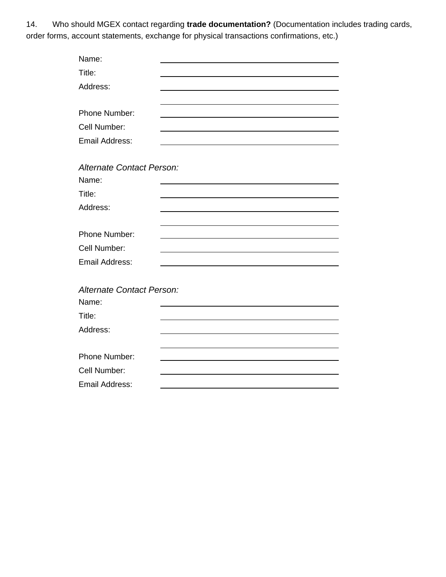14. Who should MGEX contact regarding **trade documentation?** (Documentation includes trading cards, order forms, account statements, exchange for physical transactions confirmations, etc.)

| Name:                     |  |
|---------------------------|--|
| Title:                    |  |
| Address:                  |  |
|                           |  |
| Phone Number:             |  |
| Cell Number:              |  |
| <b>Email Address:</b>     |  |
|                           |  |
| Alternate Contact Person: |  |
| Name:                     |  |
| Title:                    |  |
| Address:                  |  |
|                           |  |
| Phone Number:             |  |
| Cell Number:              |  |
| <b>Email Address:</b>     |  |
|                           |  |
| Alternate Contact Person: |  |
| Name:                     |  |
| Title:                    |  |
| Address:                  |  |
|                           |  |
| Phone Number:             |  |
| Cell Number:              |  |
| <b>Email Address:</b>     |  |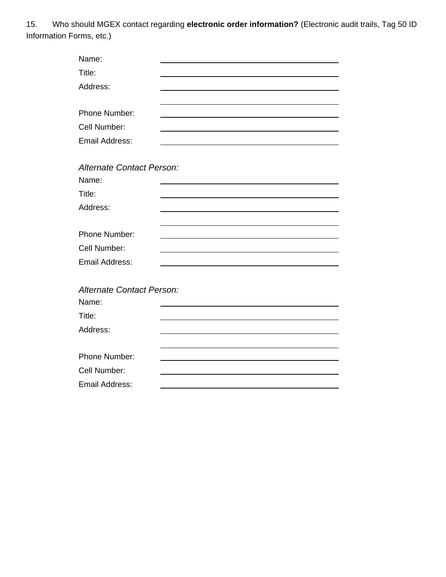15. Who should MGEX contact regarding **electronic order information?** (Electronic audit trails, Tag 50 ID Information Forms, etc.)

| Name:                            |  |
|----------------------------------|--|
| Title:                           |  |
| Address:                         |  |
|                                  |  |
| Phone Number:                    |  |
| Cell Number:                     |  |
| <b>Email Address:</b>            |  |
|                                  |  |
| <b>Alternate Contact Person:</b> |  |
| Name:                            |  |
| Title:                           |  |
| Address:                         |  |
|                                  |  |
| Phone Number:                    |  |
| Cell Number:                     |  |
| <b>Email Address:</b>            |  |
|                                  |  |
| Alternate Contact Person:        |  |
| Name:                            |  |
| Title:                           |  |
| Address:                         |  |
|                                  |  |
| Phone Number:                    |  |
| Cell Number:                     |  |
| <b>Email Address:</b>            |  |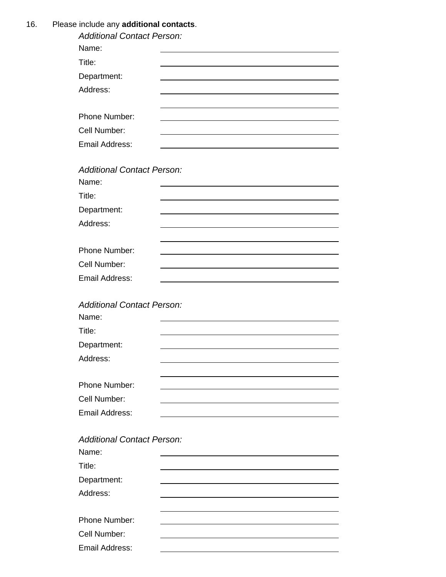16. Please include any **additional contacts**.

| $\sim$ molded any duditional contacts.<br><b>Additional Contact Person:</b> |  |
|-----------------------------------------------------------------------------|--|
| Name:                                                                       |  |
| Title:                                                                      |  |
| Department:                                                                 |  |
| Address:                                                                    |  |
|                                                                             |  |
| Phone Number:                                                               |  |
| Cell Number:                                                                |  |
| <b>Email Address:</b>                                                       |  |
| <b>Additional Contact Person:</b>                                           |  |
| Name:                                                                       |  |
| Title:                                                                      |  |
| Department:                                                                 |  |
| Address:                                                                    |  |
|                                                                             |  |
| Phone Number:                                                               |  |
| Cell Number:                                                                |  |
| Email Address:                                                              |  |
| <b>Additional Contact Person:</b>                                           |  |
| Name:                                                                       |  |
| Title:                                                                      |  |
| Department:                                                                 |  |
| Address:                                                                    |  |
|                                                                             |  |
| Phone Number:                                                               |  |
| Cell Number:                                                                |  |
| Email Address:                                                              |  |
|                                                                             |  |
| <b>Additional Contact Person:</b>                                           |  |
| Name:                                                                       |  |

| Name:          |  |
|----------------|--|
| Title:         |  |
| Department:    |  |
| Address:       |  |
| Phone Number:  |  |
| Cell Number:   |  |
| Email Address: |  |